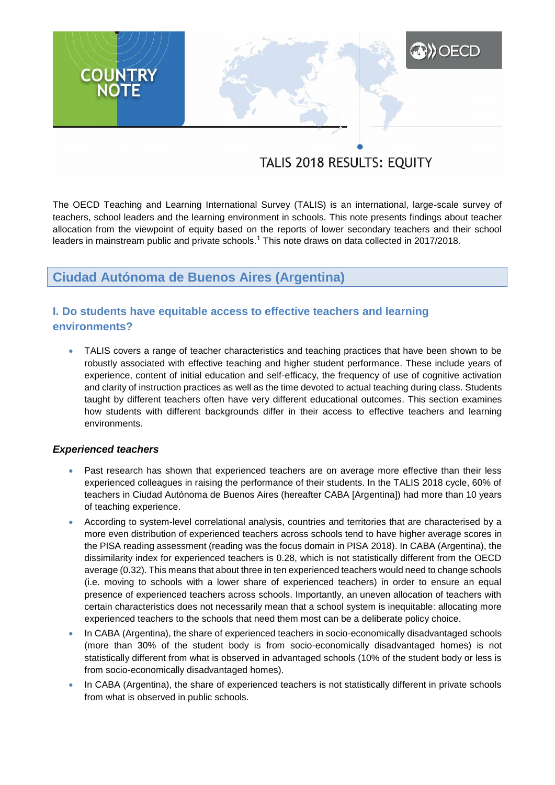# **A)**OECD **COUNTRY**

## TALIS 2018 RESULTS: EQUITY

The OECD Teaching and Learning International Survey (TALIS) is an international, large-scale survey of teachers, school leaders and the learning environment in schools. This note presents findings about teacher allocation from the viewpoint of equity based on the reports of lower secondary teachers and their school leaders in mainstream public and private schools.<sup>1</sup> This note draws on data collected in 2017/2018.

## **Ciudad Autónoma de Buenos Aires (Argentina)**

## **I. Do students have equitable access to effective teachers and learning environments?**

 TALIS covers a range of teacher characteristics and teaching practices that have been shown to be robustly associated with effective teaching and higher student performance. These include years of experience, content of initial education and self-efficacy, the frequency of use of cognitive activation and clarity of instruction practices as well as the time devoted to actual teaching during class. Students taught by different teachers often have very different educational outcomes. This section examines how students with different backgrounds differ in their access to effective teachers and learning environments.

#### *Experienced teachers*

- Past research has shown that experienced teachers are on average more effective than their less experienced colleagues in raising the performance of their students. In the TALIS 2018 cycle, 60% of teachers in Ciudad Autónoma de Buenos Aires (hereafter CABA [Argentina]) had more than 10 years of teaching experience.
- According to system-level correlational analysis, countries and territories that are characterised by a more even distribution of experienced teachers across schools tend to have higher average scores in the PISA reading assessment (reading was the focus domain in PISA 2018). In CABA (Argentina), the dissimilarity index for experienced teachers is 0.28, which is not statistically different from the OECD average (0.32). This means that about three in ten experienced teachers would need to change schools (i.e. moving to schools with a lower share of experienced teachers) in order to ensure an equal presence of experienced teachers across schools. Importantly, an uneven allocation of teachers with certain characteristics does not necessarily mean that a school system is inequitable: allocating more experienced teachers to the schools that need them most can be a deliberate policy choice.
- In CABA (Argentina), the share of experienced teachers in socio-economically disadvantaged schools (more than 30% of the student body is from socio-economically disadvantaged homes) is not statistically different from what is observed in advantaged schools (10% of the student body or less is from socio-economically disadvantaged homes).
- In CABA (Argentina), the share of experienced teachers is not statistically different in private schools from what is observed in public schools.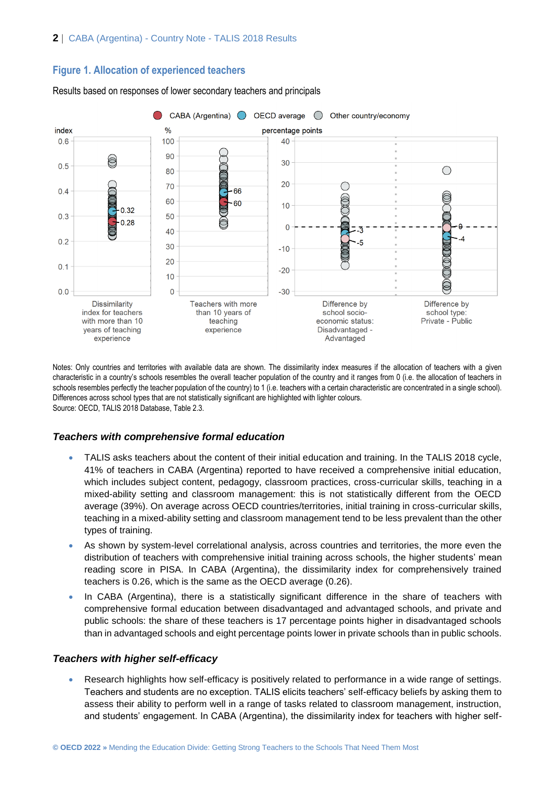#### **Figure 1. Allocation of experienced teachers**



Results based on responses of lower secondary teachers and principals

Notes: Only countries and territories with available data are shown. The dissimilarity index measures if the allocation of teachers with a given characteristic in a country's schools resembles the overall teacher population of the country and it ranges from 0 (i.e. the allocation of teachers in schools resembles perfectly the teacher population of the country) to 1 (i.e. teachers with a certain characteristic are concentrated in a single school). Differences across school types that are not statistically significant are highlighted with lighter colours. Source: OECD, TALIS 2018 Database, Table 2.3.

#### *Teachers with comprehensive formal education*

- TALIS asks teachers about the content of their initial education and training. In the TALIS 2018 cycle, 41% of teachers in CABA (Argentina) reported to have received a comprehensive initial education, which includes subject content, pedagogy, classroom practices, cross-curricular skills, teaching in a mixed-ability setting and classroom management: this is not statistically different from the OECD average (39%). On average across OECD countries/territories, initial training in cross-curricular skills, teaching in a mixed-ability setting and classroom management tend to be less prevalent than the other types of training.
- As shown by system-level correlational analysis, across countries and territories, the more even the distribution of teachers with comprehensive initial training across schools, the higher students' mean reading score in PISA. In CABA (Argentina), the dissimilarity index for comprehensively trained teachers is 0.26, which is the same as the OECD average (0.26).
- In CABA (Argentina), there is a statistically significant difference in the share of teachers with comprehensive formal education between disadvantaged and advantaged schools, and private and public schools: the share of these teachers is 17 percentage points higher in disadvantaged schools than in advantaged schools and eight percentage points lower in private schools than in public schools.

#### *Teachers with higher self-efficacy*

 Research highlights how self-efficacy is positively related to performance in a wide range of settings. Teachers and students are no exception. TALIS elicits teachers' self-efficacy beliefs by asking them to assess their ability to perform well in a range of tasks related to classroom management, instruction, and students' engagement. In CABA (Argentina), the dissimilarity index for teachers with higher self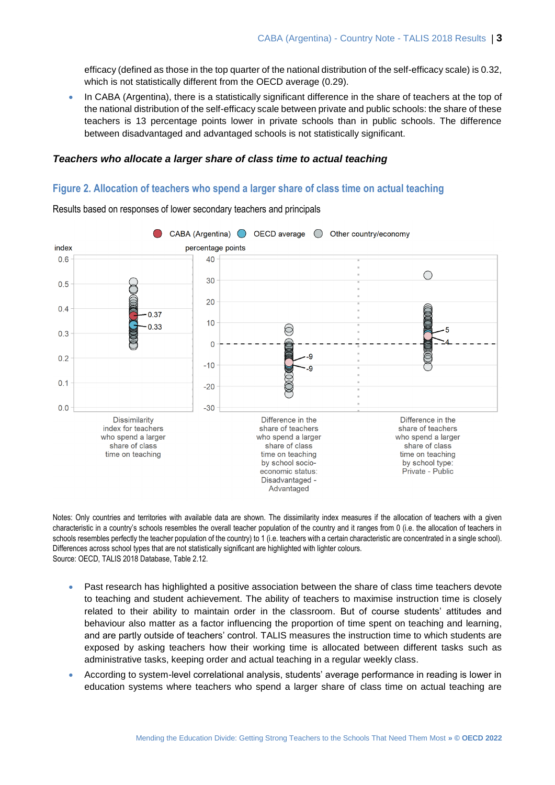efficacy (defined as those in the top quarter of the national distribution of the self-efficacy scale) is 0.32, which is not statistically different from the OECD average (0.29).

 In CABA (Argentina), there is a statistically significant difference in the share of teachers at the top of the national distribution of the self-efficacy scale between private and public schools: the share of these teachers is 13 percentage points lower in private schools than in public schools. The difference between disadvantaged and advantaged schools is not statistically significant.

#### *Teachers who allocate a larger share of class time to actual teaching*

#### **Figure 2. Allocation of teachers who spend a larger share of class time on actual teaching**



Results based on responses of lower secondary teachers and principals

Notes: Only countries and territories with available data are shown. The dissimilarity index measures if the allocation of teachers with a given characteristic in a country's schools resembles the overall teacher population of the country and it ranges from 0 (i.e. the allocation of teachers in schools resembles perfectly the teacher population of the country) to 1 (i.e. teachers with a certain characteristic are concentrated in a single school). Differences across school types that are not statistically significant are highlighted with lighter colours. Source: OECD, TALIS 2018 Database, Table 2.12.

- Past research has highlighted a positive association between the share of class time teachers devote to teaching and student achievement. The ability of teachers to maximise instruction time is closely related to their ability to maintain order in the classroom. But of course students' attitudes and behaviour also matter as a factor influencing the proportion of time spent on teaching and learning, and are partly outside of teachers' control. TALIS measures the instruction time to which students are exposed by asking teachers how their working time is allocated between different tasks such as administrative tasks, keeping order and actual teaching in a regular weekly class.
- According to system-level correlational analysis, students' average performance in reading is lower in education systems where teachers who spend a larger share of class time on actual teaching are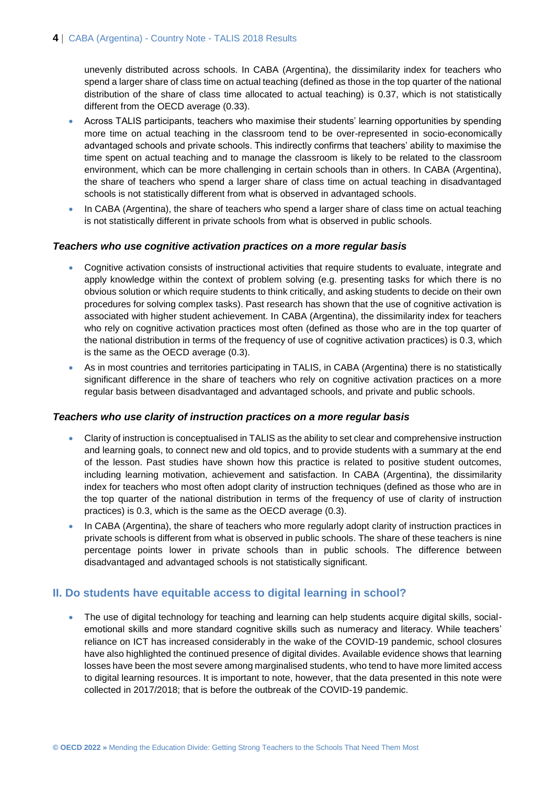unevenly distributed across schools. In CABA (Argentina), the dissimilarity index for teachers who spend a larger share of class time on actual teaching (defined as those in the top quarter of the national distribution of the share of class time allocated to actual teaching) is 0.37, which is not statistically different from the OECD average (0.33).

- Across TALIS participants, teachers who maximise their students' learning opportunities by spending more time on actual teaching in the classroom tend to be over-represented in socio-economically advantaged schools and private schools. This indirectly confirms that teachers' ability to maximise the time spent on actual teaching and to manage the classroom is likely to be related to the classroom environment, which can be more challenging in certain schools than in others. In CABA (Argentina), the share of teachers who spend a larger share of class time on actual teaching in disadvantaged schools is not statistically different from what is observed in advantaged schools.
- In CABA (Argentina), the share of teachers who spend a larger share of class time on actual teaching is not statistically different in private schools from what is observed in public schools.

#### *Teachers who use cognitive activation practices on a more regular basis*

- Cognitive activation consists of instructional activities that require students to evaluate, integrate and apply knowledge within the context of problem solving (e.g. presenting tasks for which there is no obvious solution or which require students to think critically, and asking students to decide on their own procedures for solving complex tasks). Past research has shown that the use of cognitive activation is associated with higher student achievement. In CABA (Argentina), the dissimilarity index for teachers who rely on cognitive activation practices most often (defined as those who are in the top quarter of the national distribution in terms of the frequency of use of cognitive activation practices) is 0.3, which is the same as the OECD average (0.3).
- As in most countries and territories participating in TALIS, in CABA (Argentina) there is no statistically significant difference in the share of teachers who rely on cognitive activation practices on a more regular basis between disadvantaged and advantaged schools, and private and public schools.

#### *Teachers who use clarity of instruction practices on a more regular basis*

- Clarity of instruction is conceptualised in TALIS as the ability to set clear and comprehensive instruction and learning goals, to connect new and old topics, and to provide students with a summary at the end of the lesson. Past studies have shown how this practice is related to positive student outcomes, including learning motivation, achievement and satisfaction. In CABA (Argentina), the dissimilarity index for teachers who most often adopt clarity of instruction techniques (defined as those who are in the top quarter of the national distribution in terms of the frequency of use of clarity of instruction practices) is 0.3, which is the same as the OECD average (0.3).
- In CABA (Argentina), the share of teachers who more regularly adopt clarity of instruction practices in private schools is different from what is observed in public schools. The share of these teachers is nine percentage points lower in private schools than in public schools. The difference between disadvantaged and advantaged schools is not statistically significant.

#### **II. Do students have equitable access to digital learning in school?**

 The use of digital technology for teaching and learning can help students acquire digital skills, socialemotional skills and more standard cognitive skills such as numeracy and literacy. While teachers' reliance on ICT has increased considerably in the wake of the COVID-19 pandemic, school closures have also highlighted the continued presence of digital divides. Available evidence shows that learning losses have been the most severe among marginalised students, who tend to have more limited access to digital learning resources. It is important to note, however, that the data presented in this note were collected in 2017/2018; that is before the outbreak of the COVID-19 pandemic.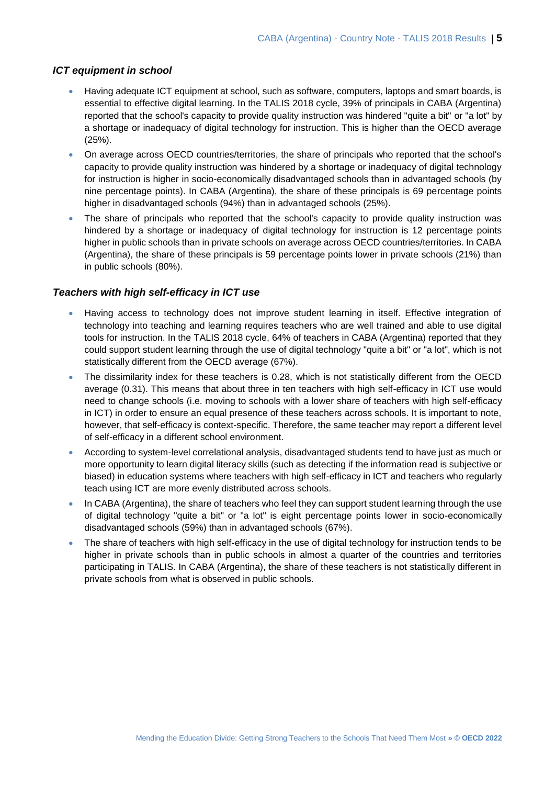#### *ICT equipment in school*

- Having adequate ICT equipment at school, such as software, computers, laptops and smart boards, is essential to effective digital learning. In the TALIS 2018 cycle, 39% of principals in CABA (Argentina) reported that the school's capacity to provide quality instruction was hindered "quite a bit" or "a lot" by a shortage or inadequacy of digital technology for instruction. This is higher than the OECD average (25%).
- On average across OECD countries/territories, the share of principals who reported that the school's capacity to provide quality instruction was hindered by a shortage or inadequacy of digital technology for instruction is higher in socio-economically disadvantaged schools than in advantaged schools (by nine percentage points). In CABA (Argentina), the share of these principals is 69 percentage points higher in disadvantaged schools (94%) than in advantaged schools (25%).
- The share of principals who reported that the school's capacity to provide quality instruction was hindered by a shortage or inadequacy of digital technology for instruction is 12 percentage points higher in public schools than in private schools on average across OECD countries/territories. In CABA (Argentina), the share of these principals is 59 percentage points lower in private schools (21%) than in public schools (80%).

#### *Teachers with high self-efficacy in ICT use*

- Having access to technology does not improve student learning in itself. Effective integration of technology into teaching and learning requires teachers who are well trained and able to use digital tools for instruction. In the TALIS 2018 cycle, 64% of teachers in CABA (Argentina) reported that they could support student learning through the use of digital technology "quite a bit" or "a lot", which is not statistically different from the OECD average (67%).
- The dissimilarity index for these teachers is 0.28, which is not statistically different from the OECD average (0.31). This means that about three in ten teachers with high self-efficacy in ICT use would need to change schools (i.e. moving to schools with a lower share of teachers with high self-efficacy in ICT) in order to ensure an equal presence of these teachers across schools. It is important to note, however, that self-efficacy is context-specific. Therefore, the same teacher may report a different level of self-efficacy in a different school environment.
- According to system-level correlational analysis, disadvantaged students tend to have just as much or more opportunity to learn digital literacy skills (such as detecting if the information read is subjective or biased) in education systems where teachers with high self-efficacy in ICT and teachers who regularly teach using ICT are more evenly distributed across schools.
- In CABA (Argentina), the share of teachers who feel they can support student learning through the use of digital technology "quite a bit" or "a lot" is eight percentage points lower in socio-economically disadvantaged schools (59%) than in advantaged schools (67%).
- The share of teachers with high self-efficacy in the use of digital technology for instruction tends to be higher in private schools than in public schools in almost a quarter of the countries and territories participating in TALIS. In CABA (Argentina), the share of these teachers is not statistically different in private schools from what is observed in public schools.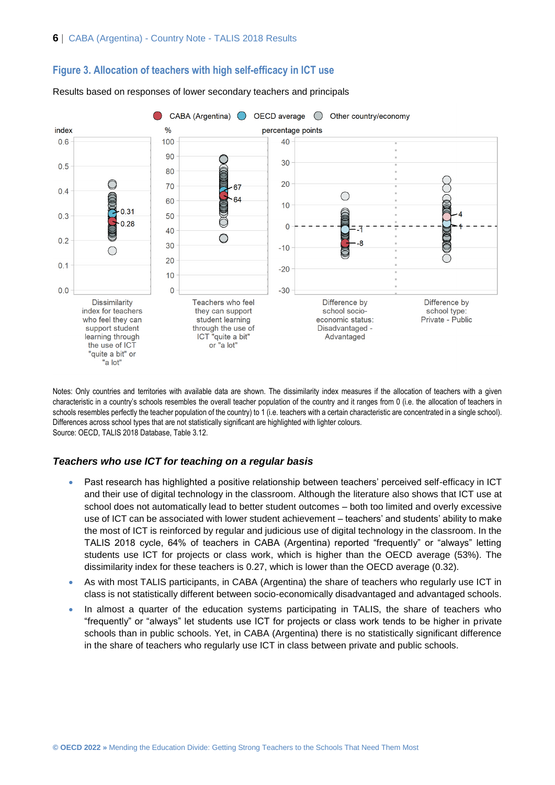

#### **Figure 3. Allocation of teachers with high self-efficacy in ICT use**

Results based on responses of lower secondary teachers and principals

Notes: Only countries and territories with available data are shown. The dissimilarity index measures if the allocation of teachers with a given characteristic in a country's schools resembles the overall teacher population of the country and it ranges from 0 (i.e. the allocation of teachers in schools resembles perfectly the teacher population of the country) to 1 (i.e. teachers with a certain characteristic are concentrated in a single school). Differences across school types that are not statistically significant are highlighted with lighter colours. Source: OECD, TALIS 2018 Database, Table 3.12.

#### *Teachers who use ICT for teaching on a regular basis*

- Past research has highlighted a positive relationship between teachers' perceived self-efficacy in ICT and their use of digital technology in the classroom. Although the literature also shows that ICT use at school does not automatically lead to better student outcomes – both too limited and overly excessive use of ICT can be associated with lower student achievement – teachers' and students' ability to make the most of ICT is reinforced by regular and judicious use of digital technology in the classroom. In the TALIS 2018 cycle, 64% of teachers in CABA (Argentina) reported "frequently" or "always" letting students use ICT for projects or class work, which is higher than the OECD average (53%). The dissimilarity index for these teachers is 0.27, which is lower than the OECD average (0.32).
- As with most TALIS participants, in CABA (Argentina) the share of teachers who regularly use ICT in class is not statistically different between socio-economically disadvantaged and advantaged schools.
- In almost a quarter of the education systems participating in TALIS, the share of teachers who "frequently" or "always" let students use ICT for projects or class work tends to be higher in private schools than in public schools. Yet, in CABA (Argentina) there is no statistically significant difference in the share of teachers who regularly use ICT in class between private and public schools.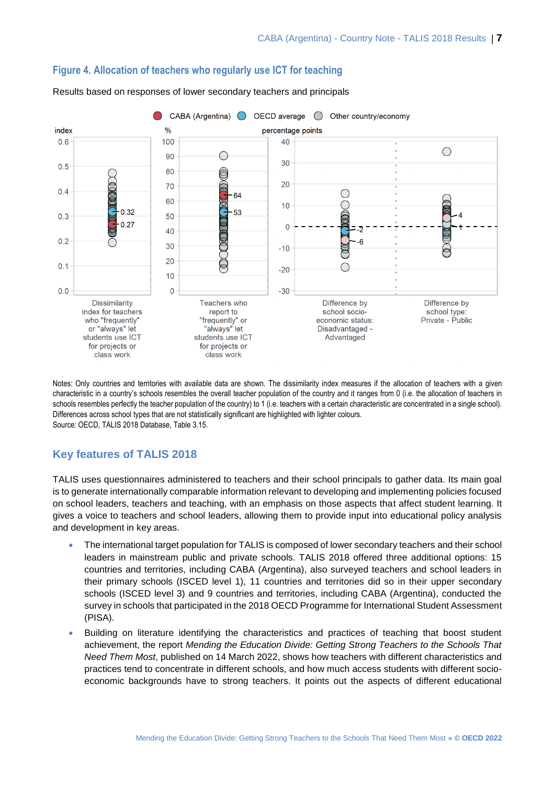

#### **Figure 4. Allocation of teachers who regularly use ICT for teaching**

Results based on responses of lower secondary teachers and principals

Notes: Only countries and territories with available data are shown. The dissimilarity index measures if the allocation of teachers with a given characteristic in a country's schools resembles the overall teacher population of the country and it ranges from 0 (i.e. the allocation of teachers in schools resembles perfectly the teacher population of the country) to 1 (i.e. teachers with a certain characteristic are concentrated in a single school). Differences across school types that are not statistically significant are highlighted with lighter colours. Source: OECD, TALIS 2018 Database, Table 3.15.

### **Key features of TALIS 2018**

TALIS uses questionnaires administered to teachers and their school principals to gather data. Its main goal is to generate internationally comparable information relevant to developing and implementing policies focused on school leaders, teachers and teaching, with an emphasis on those aspects that affect student learning. It gives a voice to teachers and school leaders, allowing them to provide input into educational policy analysis and development in key areas.

- The international target population for TALIS is composed of lower secondary teachers and their school leaders in mainstream public and private schools. TALIS 2018 offered three additional options: 15 countries and territories, including CABA (Argentina), also surveyed teachers and school leaders in their primary schools (ISCED level 1), 11 countries and territories did so in their upper secondary schools (ISCED level 3) and 9 countries and territories, including CABA (Argentina), conducted the survey in schools that participated in the 2018 OECD Programme for International Student Assessment (PISA).
- Building on literature identifying the characteristics and practices of teaching that boost student achievement, the report *Mending the Education Divide: Getting Strong Teachers to the Schools That Need Them Most*, published on 14 March 2022, shows how teachers with different characteristics and practices tend to concentrate in different schools, and how much access students with different socioeconomic backgrounds have to strong teachers. It points out the aspects of different educational